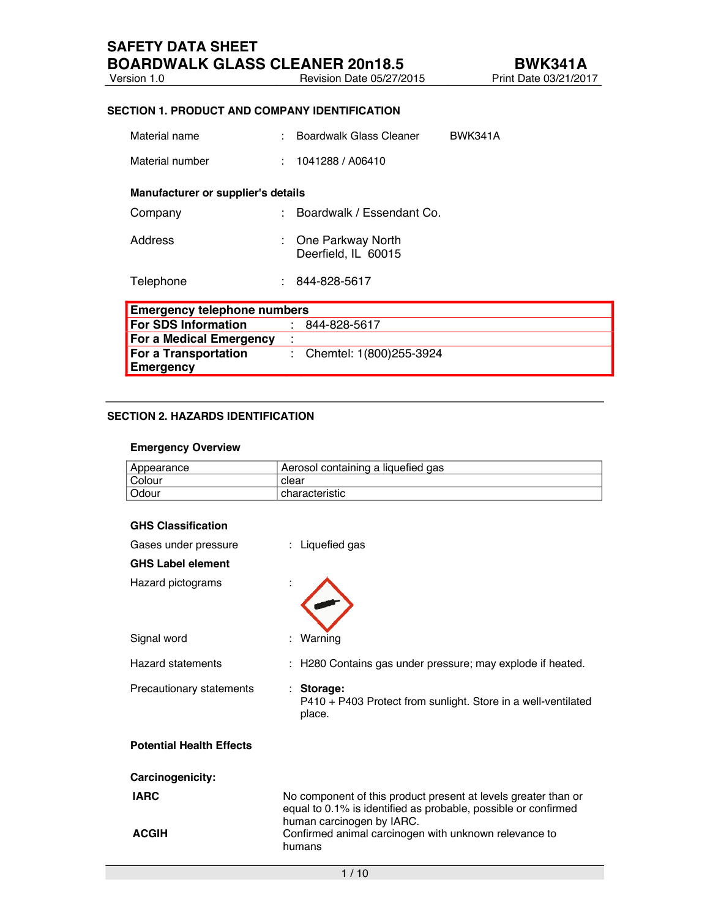#### **SECTION 1. PRODUCT AND COMPANY IDENTIFICATION**

| Material name                            |                                    | Boardwalk Glass Cleaner                  | <b>BWK341A</b> |  |  |  |
|------------------------------------------|------------------------------------|------------------------------------------|----------------|--|--|--|
| Material number                          |                                    | 1041288 / A06410                         |                |  |  |  |
| Manufacturer or supplier's details       |                                    |                                          |                |  |  |  |
| Company                                  |                                    | Boardwalk / Essendant Co.                |                |  |  |  |
| Address                                  |                                    | One Parkway North<br>Deerfield, IL 60015 |                |  |  |  |
| Telephone                                |                                    | 844-828-5617                             |                |  |  |  |
|                                          | <b>Emergency telephone numbers</b> |                                          |                |  |  |  |
| <b>For SDS Information</b>               |                                    | 844-828-5617<br>÷                        |                |  |  |  |
| For a Medical Emergency                  |                                    | $\mathbf{r}$                             |                |  |  |  |
| For a Transportation<br><b>Emergency</b> |                                    | Chemtel: 1(800)255-3924<br>÷             |                |  |  |  |

## **SECTION 2. HAZARDS IDENTIFICATION**

#### **Emergency Overview**

| Appearance | Aerosol containing a liquefied gas |
|------------|------------------------------------|
| Colour     | clear                              |
| Odour      | characteristic                     |

| <b>GHS Classification</b>       |                                                                                                                                                               |
|---------------------------------|---------------------------------------------------------------------------------------------------------------------------------------------------------------|
| Gases under pressure            | : Liquefied gas                                                                                                                                               |
| <b>GHS Label element</b>        |                                                                                                                                                               |
| Hazard pictograms               |                                                                                                                                                               |
| Signal word                     | Warning                                                                                                                                                       |
| Hazard statements               | H280 Contains gas under pressure; may explode if heated.                                                                                                      |
| Precautionary statements        | : Storage:<br>P410 + P403 Protect from sunlight. Store in a well-ventilated<br>place.                                                                         |
| <b>Potential Health Effects</b> |                                                                                                                                                               |
| Carcinogenicity:                |                                                                                                                                                               |
| <b>IARC</b>                     | No component of this product present at levels greater than or<br>equal to 0.1% is identified as probable, possible or confirmed<br>human carcinogen by IARC. |
| <b>ACGIH</b>                    | Confirmed animal carcinogen with unknown relevance to<br>humans                                                                                               |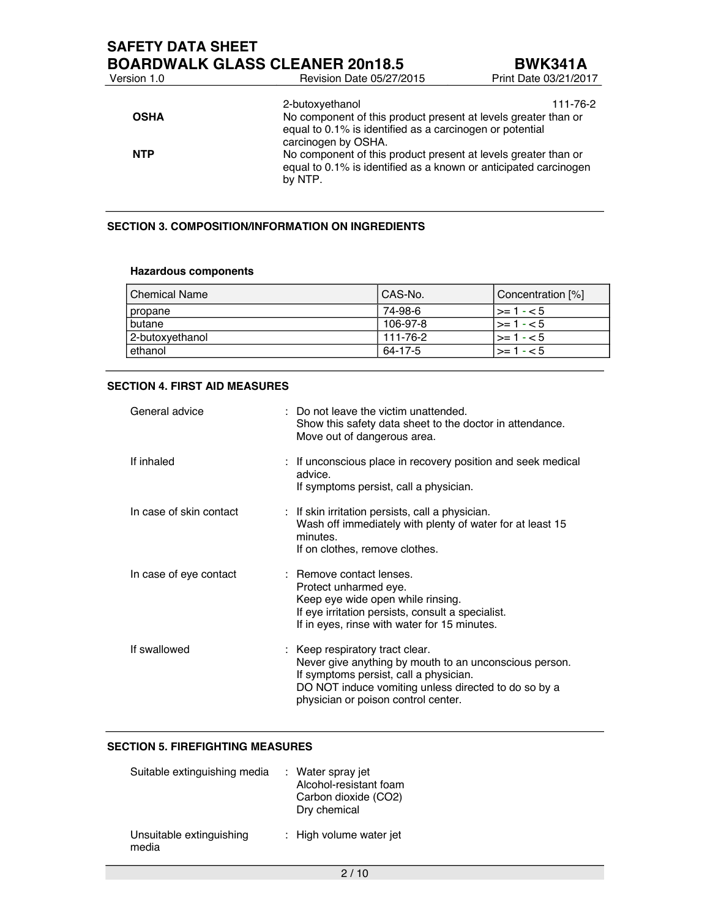# **SAFETY DATA SHEET**

**BOARDWALK GLASS CLEANER 20n18.5**<br>Version 1.0 **BWK341A**<br>Print Date 03/21/2017 Revision Date 05/27/2015 2-butoxyethanol 111-76-2 **OSHA** No component of this product present at levels greater than or equal to 0.1% is identified as a carcinogen or potential carcinogen by OSHA. **NTP** No component of this product present at levels greater than or equal to 0.1% is identified as a known or anticipated carcinogen by NTP.

## **SECTION 3. COMPOSITION/INFORMATION ON INGREDIENTS**

#### **Hazardous components**

| <b>Chemical Name</b> | CAS-No.  | Concentration [%] |
|----------------------|----------|-------------------|
| propane              | 74-98-6  | $\geq$ 1 - < 5    |
| butane               | 106-97-8 | $\geq$ 1 - < 5    |
| 2-butoxyethanol      | 111-76-2 | $\geq$ 1 - < 5    |
| ethanol              | 64-17-5  | $\geq 1.5$        |

#### **SECTION 4. FIRST AID MEASURES**

| General advice          | : Do not leave the victim unattended.<br>Show this safety data sheet to the doctor in attendance.<br>Move out of dangerous area.                                                                                                   |
|-------------------------|------------------------------------------------------------------------------------------------------------------------------------------------------------------------------------------------------------------------------------|
| If inhaled              | : If unconscious place in recovery position and seek medical<br>advice.<br>If symptoms persist, call a physician.                                                                                                                  |
| In case of skin contact | : If skin irritation persists, call a physician.<br>Wash off immediately with plenty of water for at least 15<br>minutes.<br>If on clothes, remove clothes.                                                                        |
| In case of eye contact  | : Remove contact lenses.<br>Protect unharmed eye.<br>Keep eye wide open while rinsing.<br>If eye irritation persists, consult a specialist.<br>If in eyes, rinse with water for 15 minutes.                                        |
| If swallowed            | : Keep respiratory tract clear.<br>Never give anything by mouth to an unconscious person.<br>If symptoms persist, call a physician.<br>DO NOT induce vomiting unless directed to do so by a<br>physician or poison control center. |

## **SECTION 5. FIREFIGHTING MEASURES**

| Suitable extinguishing media      | : Water spray jet<br>Alcohol-resistant foam<br>Carbon dioxide (CO2)<br>Dry chemical |
|-----------------------------------|-------------------------------------------------------------------------------------|
| Unsuitable extinguishing<br>media | : High volume water jet                                                             |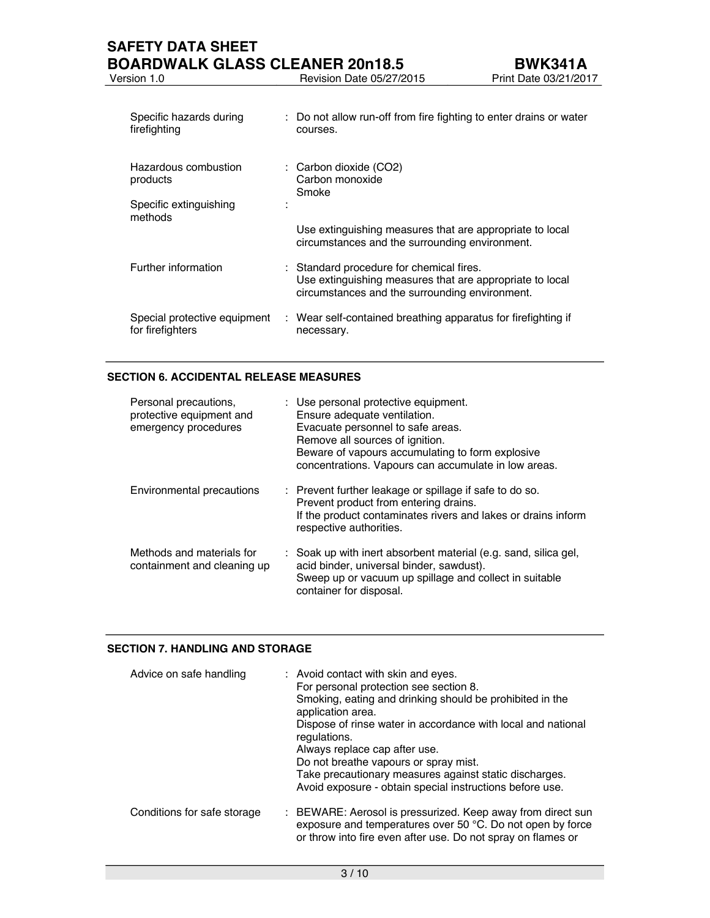| Specific hazards during<br>firefighting          | : Do not allow run-off from fire fighting to enter drains or water<br>courses.                                                                         |
|--------------------------------------------------|--------------------------------------------------------------------------------------------------------------------------------------------------------|
| Hazardous combustion<br>products                 | : Carbon dioxide (CO2)<br>Carbon monoxide<br>Smoke                                                                                                     |
| Specific extinguishing<br>methods                |                                                                                                                                                        |
|                                                  | Use extinguishing measures that are appropriate to local<br>circumstances and the surrounding environment.                                             |
| Further information                              | : Standard procedure for chemical fires.<br>Use extinguishing measures that are appropriate to local<br>circumstances and the surrounding environment. |
| Special protective equipment<br>for firefighters | : Wear self-contained breathing apparatus for firefighting if<br>necessary.                                                                            |

## **SECTION 6. ACCIDENTAL RELEASE MEASURES**

| Personal precautions,<br>protective equipment and<br>emergency procedures | : Use personal protective equipment.<br>Ensure adequate ventilation.<br>Evacuate personnel to safe areas.<br>Remove all sources of ignition.<br>Beware of vapours accumulating to form explosive<br>concentrations. Vapours can accumulate in low areas. |
|---------------------------------------------------------------------------|----------------------------------------------------------------------------------------------------------------------------------------------------------------------------------------------------------------------------------------------------------|
| Environmental precautions                                                 | : Prevent further leakage or spillage if safe to do so.<br>Prevent product from entering drains.<br>If the product contaminates rivers and lakes or drains inform<br>respective authorities.                                                             |
| Methods and materials for<br>containment and cleaning up                  | : Soak up with inert absorbent material (e.g. sand, silica gel,<br>acid binder, universal binder, sawdust).<br>Sweep up or vacuum up spillage and collect in suitable<br>container for disposal.                                                         |

#### **SECTION 7. HANDLING AND STORAGE**

| Advice on safe handling     | : Avoid contact with skin and eyes.<br>For personal protection see section 8.<br>Smoking, eating and drinking should be prohibited in the<br>application area.<br>Dispose of rinse water in accordance with local and national<br>regulations.<br>Always replace cap after use.<br>Do not breathe vapours or spray mist.<br>Take precautionary measures against static discharges.<br>Avoid exposure - obtain special instructions before use. |
|-----------------------------|------------------------------------------------------------------------------------------------------------------------------------------------------------------------------------------------------------------------------------------------------------------------------------------------------------------------------------------------------------------------------------------------------------------------------------------------|
| Conditions for safe storage | : BEWARE: Aerosol is pressurized. Keep away from direct sun<br>exposure and temperatures over 50 °C. Do not open by force<br>or throw into fire even after use. Do not spray on flames or                                                                                                                                                                                                                                                      |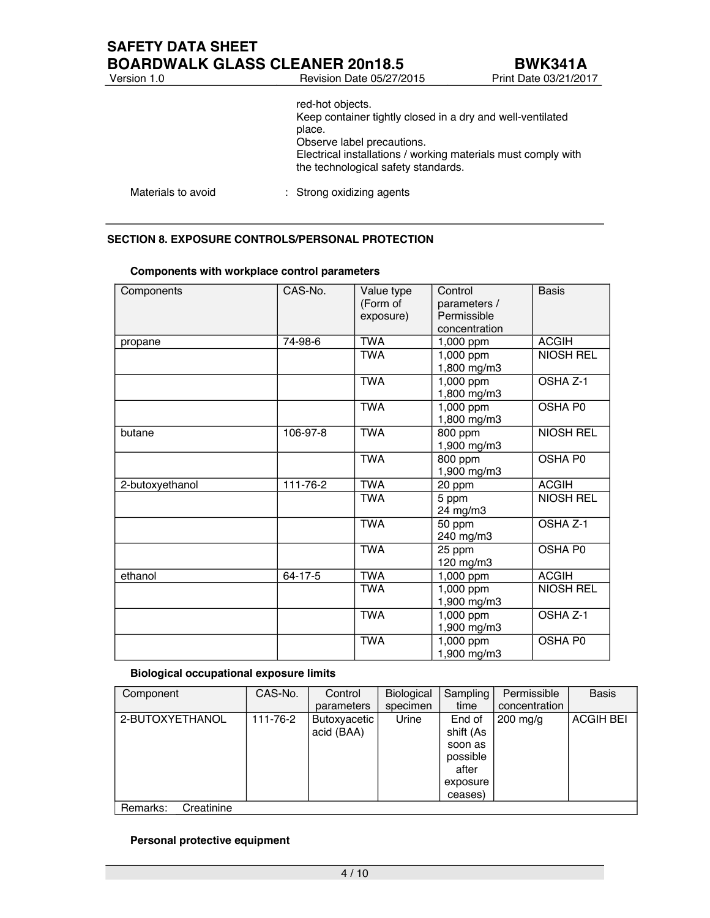|                    | red-hot objects.<br>Keep container tightly closed in a dry and well-ventilated<br>place.<br>Observe label precautions.<br>Electrical installations / working materials must comply with<br>the technological safety standards. |
|--------------------|--------------------------------------------------------------------------------------------------------------------------------------------------------------------------------------------------------------------------------|
| Materials to avoid | : Strong oxidizing agents                                                                                                                                                                                                      |

## **SECTION 8. EXPOSURE CONTROLS/PERSONAL PROTECTION**

| Components      | CAS-No.  | Value type<br>(Form of<br>exposure) | Control<br>parameters /<br>Permissible<br>concentration | <b>Basis</b>     |
|-----------------|----------|-------------------------------------|---------------------------------------------------------|------------------|
| propane         | 74-98-6  | <b>TWA</b>                          | 1,000 ppm                                               | <b>ACGIH</b>     |
|                 |          | <b>TWA</b>                          | 1,000 ppm<br>1,800 mg/m3                                | <b>NIOSH REL</b> |
|                 |          | <b>TWA</b>                          | 1,000 ppm<br>1,800 mg/m3                                | OSHA Z-1         |
|                 |          | <b>TWA</b>                          | 1,000 ppm<br>1,800 mg/m3                                | OSHA P0          |
| butane          | 106-97-8 | <b>TWA</b>                          | 800 ppm<br>1,900 mg/m3                                  | <b>NIOSH REL</b> |
|                 |          | <b>TWA</b>                          | 800 ppm<br>1,900 mg/m3                                  | OSHA P0          |
| 2-butoxyethanol | 111-76-2 | <b>TWA</b>                          | 20 ppm                                                  | <b>ACGIH</b>     |
|                 |          | <b>TWA</b>                          | 5 ppm<br>24 mg/m3                                       | <b>NIOSH REL</b> |
|                 |          | <b>TWA</b>                          | 50 ppm<br>240 mg/m3                                     | OSHA Z-1         |
|                 |          | <b>TWA</b>                          | 25 ppm<br>120 mg/m3                                     | OSHA P0          |
| ethanol         | 64-17-5  | <b>TWA</b>                          | 1,000 ppm                                               | <b>ACGIH</b>     |
|                 |          | <b>TWA</b>                          | 1,000 ppm<br>1,900 mg/m3                                | <b>NIOSH REL</b> |
|                 |          | <b>TWA</b>                          | 1,000 ppm<br>1,900 mg/m3                                | OSHA Z-1         |
|                 |          | <b>TWA</b>                          | 1,000 ppm<br>1,900 mg/m3                                | OSHA P0          |

## **Components with workplace control parameters**

#### **Biological occupational exposure limits**

| Component              | CAS-No.  | Control<br>parameters      | Biological<br>specimen | Sampling<br>time                                                           | Permissible<br>concentration | <b>Basis</b>     |
|------------------------|----------|----------------------------|------------------------|----------------------------------------------------------------------------|------------------------------|------------------|
| 2-BUTOXYETHANOL        | 111-76-2 | Butoxyacetic<br>acid (BAA) | Urine                  | End of<br>shift (As<br>soon as<br>possible<br>after<br>exposure<br>ceases) | $200$ mg/g                   | <b>ACGIH BEI</b> |
| Creatinine<br>Remarks: |          |                            |                        |                                                                            |                              |                  |

## **Personal protective equipment**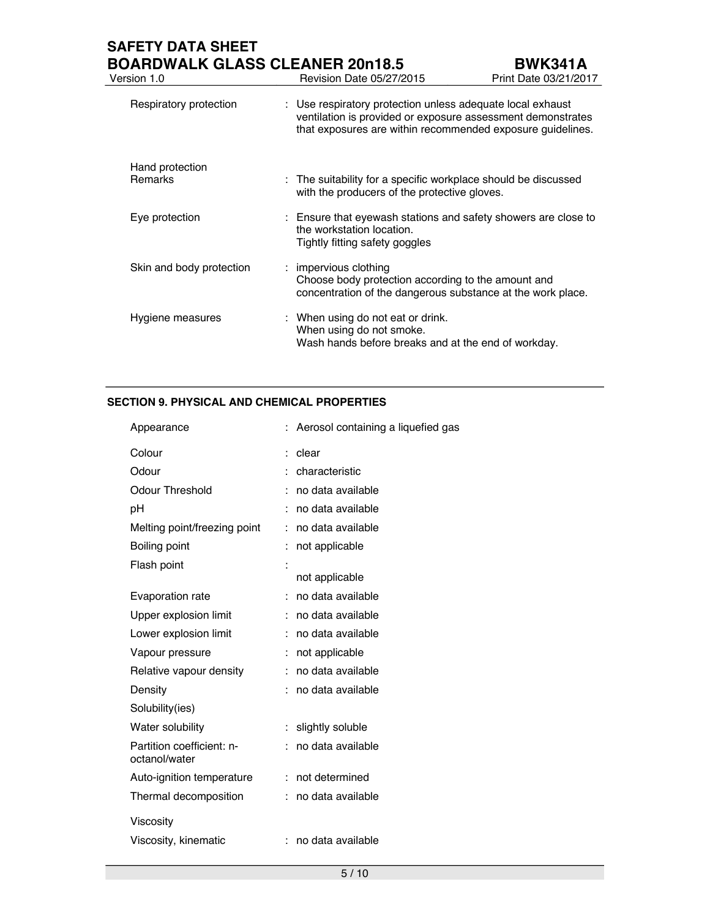# **SAFETY DATA SHEET**

| <b>BOARDWALK GLASS CLEANER 20n18.5</b><br>Version 1.0 | <b>Revision Date 05/27/2015</b>                                                                                                                                                         | <b>BWK341A</b><br>Print Date 03/21/2017 |
|-------------------------------------------------------|-----------------------------------------------------------------------------------------------------------------------------------------------------------------------------------------|-----------------------------------------|
| Respiratory protection                                | : Use respiratory protection unless adequate local exhaust<br>ventilation is provided or exposure assessment demonstrates<br>that exposures are within recommended exposure guidelines. |                                         |
| Hand protection<br><b>Remarks</b>                     | : The suitability for a specific workplace should be discussed<br>with the producers of the protective gloves.                                                                          |                                         |
| Eye protection                                        | : Ensure that eyewash stations and safety showers are close to<br>the workstation location.<br>Tightly fitting safety goggles                                                           |                                         |
| Skin and body protection                              | : impervious clothing<br>Choose body protection according to the amount and<br>concentration of the dangerous substance at the work place.                                              |                                         |
| Hygiene measures                                      | : When using do not eat or drink.<br>When using do not smoke.<br>Wash hands before breaks and at the end of workday.                                                                    |                                         |

## **SECTION 9. PHYSICAL AND CHEMICAL PROPERTIES**

| Appearance                                 |    | Aerosol containing a liquefied gas |
|--------------------------------------------|----|------------------------------------|
| Colour                                     |    | clear                              |
| Odour                                      |    | characteristic                     |
| <b>Odour Threshold</b>                     |    | no data available                  |
| рH                                         |    | no data available                  |
| Melting point/freezing point               | ÷  | no data available                  |
| Boiling point                              |    | not applicable                     |
| Flash point                                | t  |                                    |
|                                            |    | not applicable                     |
| Evaporation rate                           |    | no data available                  |
| Upper explosion limit                      |    | no data available                  |
| Lower explosion limit                      |    | no data available                  |
| Vapour pressure                            |    | not applicable                     |
| Relative vapour density                    | t  | no data available                  |
| Density                                    |    | no data available                  |
| Solubility(ies)                            |    |                                    |
| Water solubility                           | t  | slightly soluble                   |
| Partition coefficient: n-<br>octanol/water |    | no data available                  |
| Auto-ignition temperature                  | ÷. | not determined                     |
| Thermal decomposition                      | ÷  | no data available                  |
| <b>Viscosity</b>                           |    |                                    |
| Viscosity, kinematic                       | ÷  | no data available                  |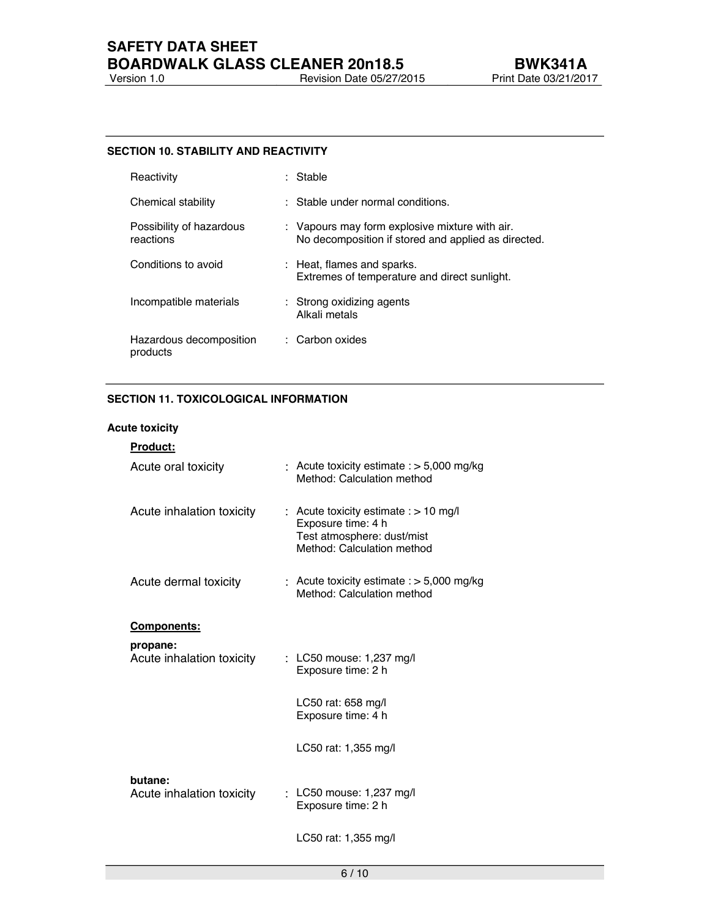## **SAFETY DATA SHEET BOARDWALK GLASS CLEANER 20n18.5**<br>Version 1.0 **BUK341A**<br>Print Date 03/21/2017 **Version 1.0** Revision Date 03/21/2015 Print Date 03/21/2015 Print Date 03/21/2017

#### **SECTION 10. STABILITY AND REACTIVITY**

| Reactivity                            | : Stable                                                                                              |
|---------------------------------------|-------------------------------------------------------------------------------------------------------|
| Chemical stability                    | : Stable under normal conditions.                                                                     |
| Possibility of hazardous<br>reactions | : Vapours may form explosive mixture with air.<br>No decomposition if stored and applied as directed. |
| Conditions to avoid                   | : Heat, flames and sparks.<br>Extremes of temperature and direct sunlight.                            |
| Incompatible materials                | : Strong oxidizing agents<br>Alkali metals                                                            |
| Hazardous decomposition<br>products   | $\therefore$ Carbon oxides                                                                            |

## **SECTION 11. TOXICOLOGICAL INFORMATION**

## **Acute toxicity**

| <u>Product:</u>           |                                                                                                                           |
|---------------------------|---------------------------------------------------------------------------------------------------------------------------|
| Acute oral toxicity       | : Acute toxicity estimate : $>$ 5,000 mg/kg<br>Method: Calculation method                                                 |
| Acute inhalation toxicity | : Acute toxicity estimate $:$ > 10 mg/l<br>Exposure time: 4 h<br>Test atmosphere: dust/mist<br>Method: Calculation method |
| Acute dermal toxicity     | : Acute toxicity estimate $:$ > 5,000 mg/kg<br>Method: Calculation method                                                 |
| <u>Components:</u>        |                                                                                                                           |
| propane:                  |                                                                                                                           |
| Acute inhalation toxicity | $\frac{1}{2}$ LC50 mouse: 1,237 mg/l<br>Exposure time: 2 h                                                                |
|                           | LC50 rat: 658 mg/l<br>Exposure time: 4 h                                                                                  |
|                           | LC50 rat: 1,355 mg/l                                                                                                      |
| butane:                   |                                                                                                                           |
| Acute inhalation toxicity | $\frac{1}{2}$ LC50 mouse: 1,237 mg/l<br>Exposure time: 2 h                                                                |
|                           | LC50 rat: 1,355 mg/l                                                                                                      |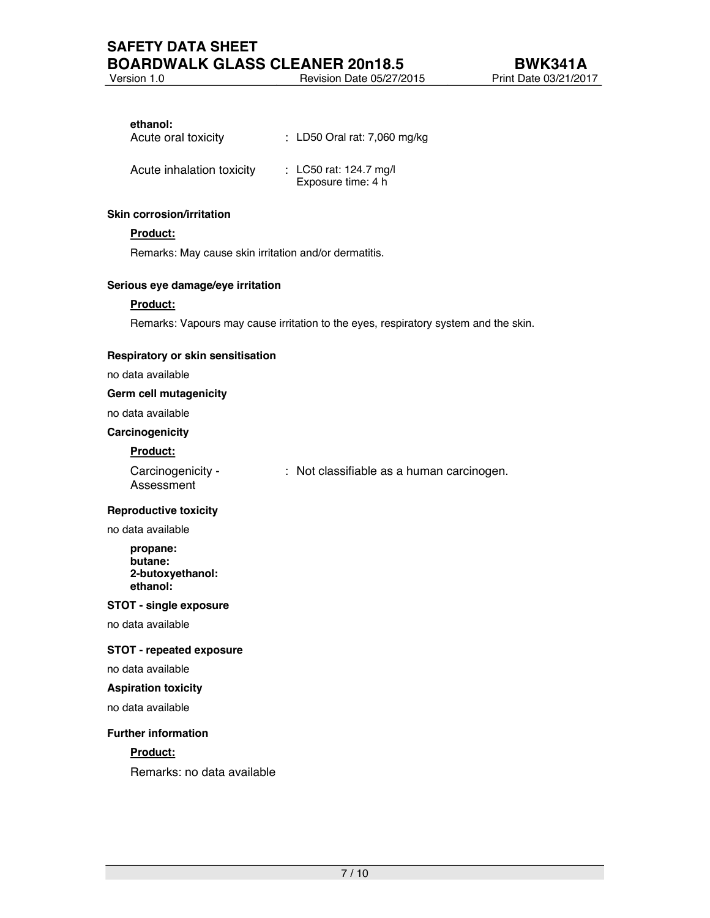Version 1.0 Revision Date 05/27/2015 Print Date 03/21/2017

#### **ethanol:**

| Acute oral toxicity       | : LD50 Oral rat: 7,060 mg/kg                 |
|---------------------------|----------------------------------------------|
| Acute inhalation toxicity | : LC50 rat: 124.7 mg/l<br>Exposure time: 4 h |

#### **Skin corrosion/irritation**

## **Product:**

Remarks: May cause skin irritation and/or dermatitis.

#### **Serious eye damage/eye irritation**

#### **Product:**

Remarks: Vapours may cause irritation to the eyes, respiratory system and the skin.

#### **Respiratory or skin sensitisation**

no data available

#### **Germ cell mutagenicity**

no data available

#### **Carcinogenicity**

#### **Product:**

| Carcinogenicity - | : Not classifiable as a human carcinogen. |
|-------------------|-------------------------------------------|
| Assessment        |                                           |

#### **Reproductive toxicity**

no data available

**propane: butane: 2-butoxyethanol: ethanol:**

#### **STOT - single exposure**

no data available

## **STOT - repeated exposure**

no data available

#### **Aspiration toxicity**

no data available

#### **Further information**

## **Product:**

Remarks: no data available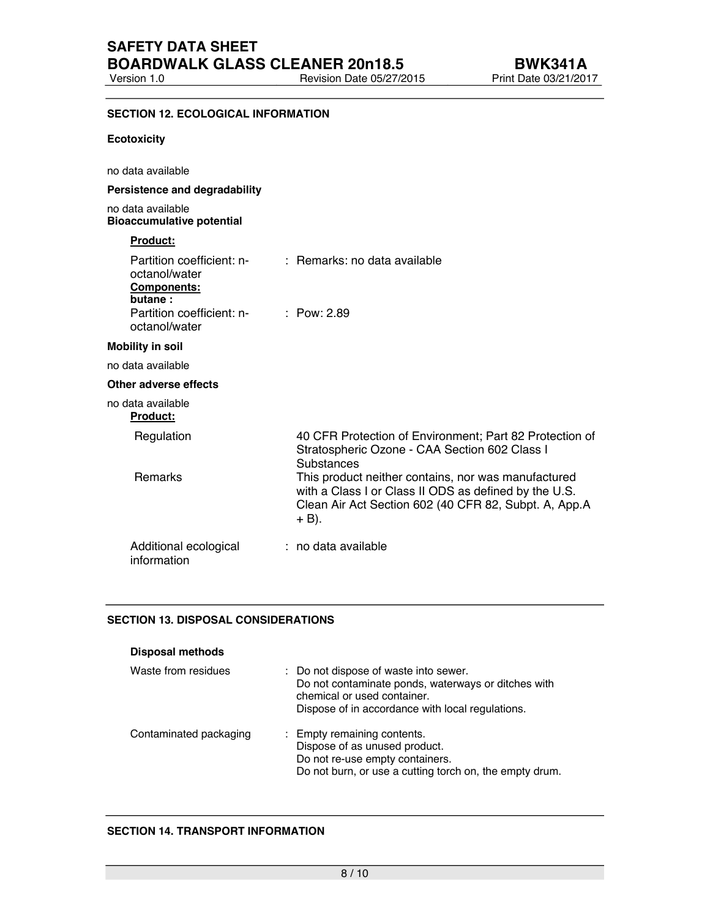Revision Date 05/27/2015

## **SECTION 12. ECOLOGICAL INFORMATION**

#### **Ecotoxicity**

| no data available                                                                                                         |                                                                                                                                                                                                                                                                                                          |
|---------------------------------------------------------------------------------------------------------------------------|----------------------------------------------------------------------------------------------------------------------------------------------------------------------------------------------------------------------------------------------------------------------------------------------------------|
| Persistence and degradability                                                                                             |                                                                                                                                                                                                                                                                                                          |
| no data available<br><b>Bioaccumulative potential</b>                                                                     |                                                                                                                                                                                                                                                                                                          |
| Product:                                                                                                                  |                                                                                                                                                                                                                                                                                                          |
| Partition coefficient: n-<br>octanol/water<br><b>Components:</b><br>butane:<br>Partition coefficient: n-<br>octanol/water | $\therefore$ Remarks: no data available<br>$\therefore$ Pow: 2.89                                                                                                                                                                                                                                        |
| <b>Mobility in soil</b>                                                                                                   |                                                                                                                                                                                                                                                                                                          |
| no data available                                                                                                         |                                                                                                                                                                                                                                                                                                          |
| Other adverse effects                                                                                                     |                                                                                                                                                                                                                                                                                                          |
| no data available<br>Product:                                                                                             |                                                                                                                                                                                                                                                                                                          |
| Regulation<br><b>Remarks</b>                                                                                              | 40 CFR Protection of Environment; Part 82 Protection of<br>Stratospheric Ozone - CAA Section 602 Class I<br>Substances<br>This product neither contains, nor was manufactured<br>with a Class I or Class II ODS as defined by the U.S.<br>Clean Air Act Section 602 (40 CFR 82, Subpt. A, App.A<br>+ B). |
| Additional ecological<br>information                                                                                      | : no data available                                                                                                                                                                                                                                                                                      |

#### **SECTION 13. DISPOSAL CONSIDERATIONS**

| <b>Disposal methods</b> |                                                                                                                                                                                 |
|-------------------------|---------------------------------------------------------------------------------------------------------------------------------------------------------------------------------|
| Waste from residues     | : Do not dispose of waste into sewer.<br>Do not contaminate ponds, waterways or ditches with<br>chemical or used container.<br>Dispose of in accordance with local regulations. |
| Contaminated packaging  | : Empty remaining contents.<br>Dispose of as unused product.<br>Do not re-use empty containers.<br>Do not burn, or use a cutting torch on, the empty drum.                      |

## **SECTION 14. TRANSPORT INFORMATION**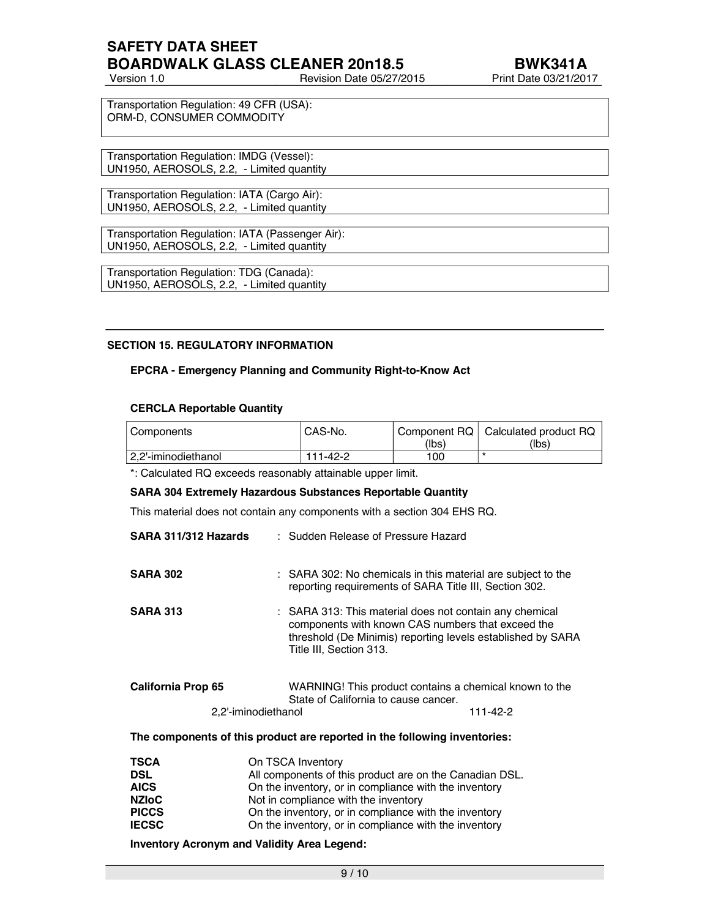## **SAFETY DATA SHEET BOARDWALK GLASS CLEANER 20n18.5 BWK341A**

Version 1.0 Revision Date 05/27/2015 Print Date 03/21/2017

Transportation Regulation: 49 CFR (USA): ORM-D, CONSUMER COMMODITY

Transportation Regulation: IMDG (Vessel): UN1950, AEROSOLS, 2.2, - Limited quantity

Transportation Regulation: IATA (Cargo Air): UN1950, AEROSOLS, 2.2, - Limited quantity

Transportation Regulation: IATA (Passenger Air): UN1950, AEROSOLS, 2.2, - Limited quantity

Transportation Regulation: TDG (Canada): UN1950, AEROSOLS, 2.2, - Limited quantity

#### **SECTION 15. REGULATORY INFORMATION**

#### **EPCRA - Emergency Planning and Community Right-to-Know Act**

#### **CERCLA Reportable Quantity**

| l Components        | CAS-No.  |       | Component RQ   Calculated product RQ |
|---------------------|----------|-------|--------------------------------------|
|                     |          | (lbs) | (Ibs)                                |
| 2.2'-iminodiethanol | 111-42-2 | 100   | 75                                   |

\*: Calculated RQ exceeds reasonably attainable upper limit.

#### **SARA 304 Extremely Hazardous Substances Reportable Quantity**

This material does not contain any components with a section 304 EHS RQ.

| SARA 311/312 Hazards |                     | : Sudden Release of Pressure Hazard                                                                                                                                                                    |          |
|----------------------|---------------------|--------------------------------------------------------------------------------------------------------------------------------------------------------------------------------------------------------|----------|
| <b>SARA 302</b>      |                     | : SARA 302: No chemicals in this material are subject to the<br>reporting requirements of SARA Title III, Section 302.                                                                                 |          |
| <b>SARA 313</b>      |                     | : SARA 313: This material does not contain any chemical<br>components with known CAS numbers that exceed the<br>threshold (De Minimis) reporting levels established by SARA<br>Title III, Section 313. |          |
| California Prop 65   |                     | WARNING! This product contains a chemical known to the<br>State of California to cause cancer.                                                                                                         |          |
|                      | 2,2'-iminodiethanol |                                                                                                                                                                                                        | 111-42-2 |

#### **The components of this product are reported in the following inventories:**

| <b>TSCA</b>  | On TSCA Inventory                                       |
|--------------|---------------------------------------------------------|
| <b>DSL</b>   | All components of this product are on the Canadian DSL. |
| <b>AICS</b>  | On the inventory, or in compliance with the inventory   |
| <b>NZIoC</b> | Not in compliance with the inventory                    |
| <b>PICCS</b> | On the inventory, or in compliance with the inventory   |
| <b>IECSC</b> | On the inventory, or in compliance with the inventory   |

#### **Inventory Acronym and Validity Area Legend:**